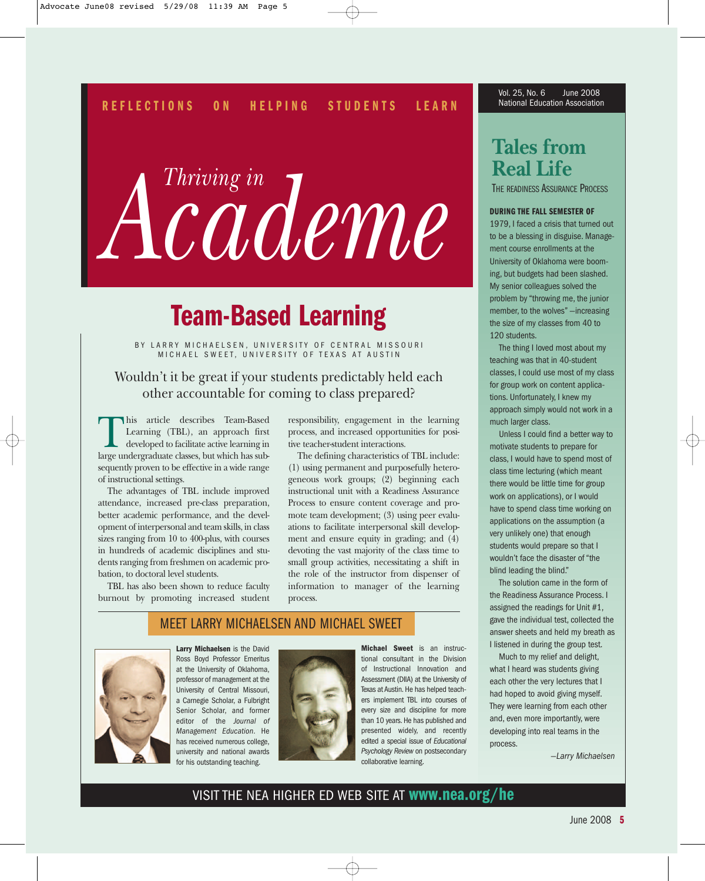### **HELPING STUDENTS LEARN REFLECTIONS ON**

*Thriving in Academe*

# **Team-Based Learning**

BY LARRY MICHAELSEN, UNIVERSITY OF CENTRAL MISSOURI MICHAEL SWEET, UNIVERSITY OF TEXAS AT AUSTIN

# Wouldn't it be great if your students predictably held each other accountable for coming to class prepared?

This article describes Team-Based<br>Learning (TBL), an approach first<br>developed to facilitate active learning in<br>large undergraduate classes but which has sub-Learning (TBL), an approach first developed to facilitate active learning in large undergraduate classes, but which has subsequently proven to be effective in a wide range of instructional settings.

The advantages of TBL include improved attendance, increased pre-class preparation, better academic performance, and the development of interpersonal and team skills, in class sizes ranging from 10 to 400-plus, with courses in hundreds of academic disciplines and students ranging from freshmen on academic probation, to doctoral level students.

TBL has also been shown to reduce faculty burnout by promoting increased student

responsibility, engagement in the learning process, and increased opportunities for positive teacher-student interactions.

The defining characteristics of TBL include: (1) using permanent and purposefully heterogeneous work groups; (2) beginning each instructional unit with a Readiness Assurance Process to ensure content coverage and promote team development; (3) using peer evaluations to facilitate interpersonal skill development and ensure equity in grading; and (4) devoting the vast majority of the class time to small group activities, necessitating a shift in the role of the instructor from dispenser of information to manager of the learning process.

# MEET LARRY MICHAELSEN AND MICHAEL SWEET



Ross Boyd Professor Emeritus at the University of Oklahoma, professor of management at the University of Central Missouri, a Carnegie Scholar, a Fulbright Senior Scholar, and former editor of the *Journal of Management Education*. He has received numerous college, university and national awards for his outstanding teaching.



**Larry Michaelsen** is the David Michael Sweet is an instruction in the Division and consultant in the Division and the Division and consultant in the Division of Instructional innovation and what I heard was students givin **Michael Sweet** is an instructional consultant in the Division of Instructional Innovation and Assessment (DIIA) at the University of Texas at Austin. He has helped teachers implement TBL into courses of every size and discipline for more than 10 years. He has published and presented widely, and recently edited a special issue of *Educational Psychology Review* on postsecondary collaborative learning.

Vol. 25, No. 6 June 2008 National Education Association

# **Tales from Real Life**

THE READINESS ASSURANCE PROCESS

# **DURING THE FALL SEMESTER OF**

1979, I faced a crisis that turned out to be a blessing in disguise. Management course enrollments at the University of Oklahoma were booming, but budgets had been slashed. My senior colleagues solved the problem by "throwing me, the junior member, to the wolves" —increasing the size of my classes from 40 to 120 students.

The thing I loved most about my teaching was that in 40-student classes, I could use most of my class for group work on content applications. Unfortunately, I knew my approach simply would not work in a much larger class.

Unless I could find a better way to motivate students to prepare for class, I would have to spend most of class time lecturing (which meant there would be little time for group work on applications), or I would have to spend class time working on applications on the assumption (a very unlikely one) that enough students would prepare so that I wouldn't face the disaster of "the blind leading the blind."

The solution came in the form of the Readiness Assurance Process. I assigned the readings for Unit #1, gave the individual test, collected the answer sheets and held my breath as I listened in during the group test.

Much to my relief and delight, what I heard was students giving each other the very lectures that I had hoped to avoid giving myself. They were learning from each other and, even more importantly, were developing into real teams in the process.

—*Larry Michaelsen* 

# VISIT THE NEA HIGHER ED WEB SITE AT **www.nea.org/he**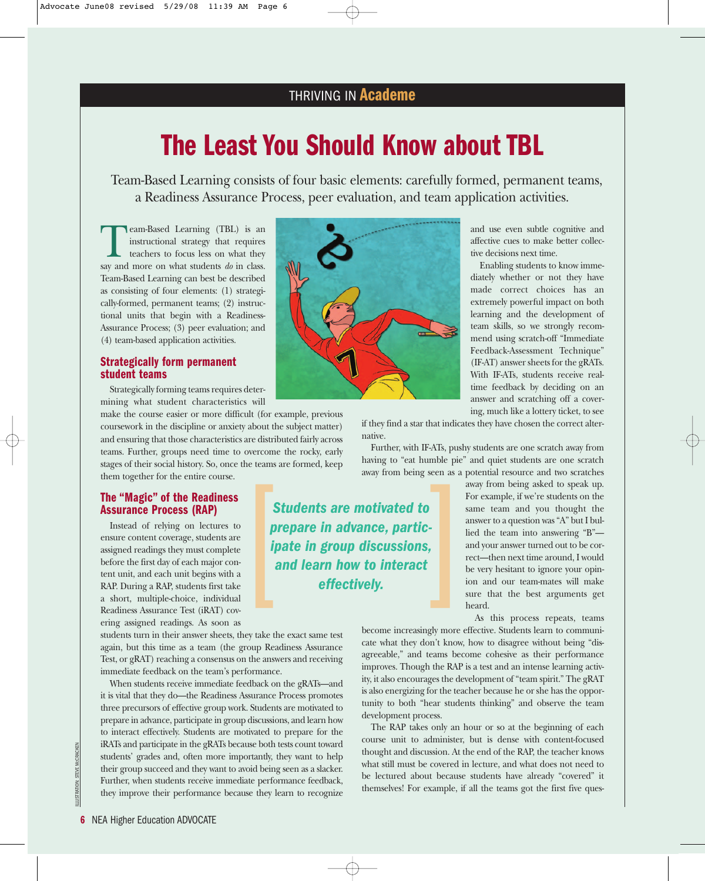# **The Least You Should Know about TBL**

Team-Based Learning consists of four basic elements: carefully formed, permanent teams, a Readiness Assurance Process, peer evaluation, and team application activities.

**T**eam-Based Learning (TBL) is an instructional strategy that requires teachers to focus less on what they say and more on what students  $d\rho$  in class instructional strategy that requires teachers to focus less on what they say and more on what students *do* in class. Team-Based Learning can best be described as consisting of four elements: (1) strategically-formed, permanent teams; (2) instructional units that begin with a Readiness-Assurance Process; (3) peer evaluation; and (4) team-based application activities.

# **Strategically form permanent student teams**

Strategically forming teams requires determining what student characteristics will

make the course easier or more difficult (for example, previous coursework in the discipline or anxiety about the subject matter) and ensuring that those characteristics are distributed fairly across teams. Further, groups need time to overcome the rocky, early stages of their social history. So, once the teams are formed, keep them together for the entire course.

# **The "Magic" of the Readiness Assurance Process (RAP)**

Instead of relying on lectures to ensure content coverage, students are assigned readings they must complete before the first day of each major content unit, and each unit begins with a RAP. During a RAP, students first take a short, multiple-choice, individual Readiness Assurance Test (iRAT) covering assigned readings. As soon as

students turn in their answer sheets, they take the exact same test again, but this time as a team (the group Readiness Assurance Test, or gRAT) reaching a consensus on the answers and receiving immediate feedback on the team's performance.

When students receive immediate feedback on the gRATs—and it is vital that they do—the Readiness Assurance Process promotes three precursors of effective group work. Students are motivated to prepare in advance, participate in group discussions, and learn how to interact effectively. Students are motivated to prepare for the iRATs and participate in the gRATs because both tests count toward students' grades and, often more importantly, they want to help their group succeed and they want to avoid being seen as a slacker. Further, when students receive immediate performance feedback, they improve their performance because they learn to recognize



and use even subtle cognitive and affective cues to make better collective decisions next time.

Enabling students to know immediately whether or not they have made correct choices has an extremely powerful impact on both learning and the development of team skills, so we strongly recommend using scratch-off "Immediate Feedback-Assessment Technique" (IF-AT) answer sheets for the gRATs. With IF-ATs, students receive realtime feedback by deciding on an answer and scratching off a covering, much like a lottery ticket, to see

if they find a star that indicates they have chosen the correct alternative.

Further, with IF-ATs, pushy students are one scratch away from having to "eat humble pie" and quiet students are one scratch away from being seen as a potential resource and two scratches

*Students are motivated to prepare in advance, participate in group discussions, away from being seen as a*<br> **Students are motivated to**<br> **prepare in advance, partic-**<br> **ipate in group discussions,<br>
and learn how to interact<br>
effectively.** 

away from being asked to speak up. For example, if we're students on the same team and you thought the answer to a question was "A" but I bullied the team into answering "B" and your answer turned out to be correct—then next time around, I would be very hesitant to ignore your opinion and our team-mates will make sure that the best arguments get heard.

As this process repeats, teams

become increasingly more effective. Students learn to communicate what they don't know, how to disagree without being "disagreeable," and teams become cohesive as their performance improves. Though the RAP is a test and an intense learning activity, it also encourages the development of "team spirit." The gRAT is also energizing for the teacher because he or she has the opportunity to both "hear students thinking" and observe the team development process.

The RAP takes only an hour or so at the beginning of each course unit to administer, but is dense with content-focused thought and discussion. At the end of the RAP, the teacher knows what still must be covered in lecture, and what does not need to be lectured about because students have already "covered" it themselves! For example, if all the teams got the first five ques-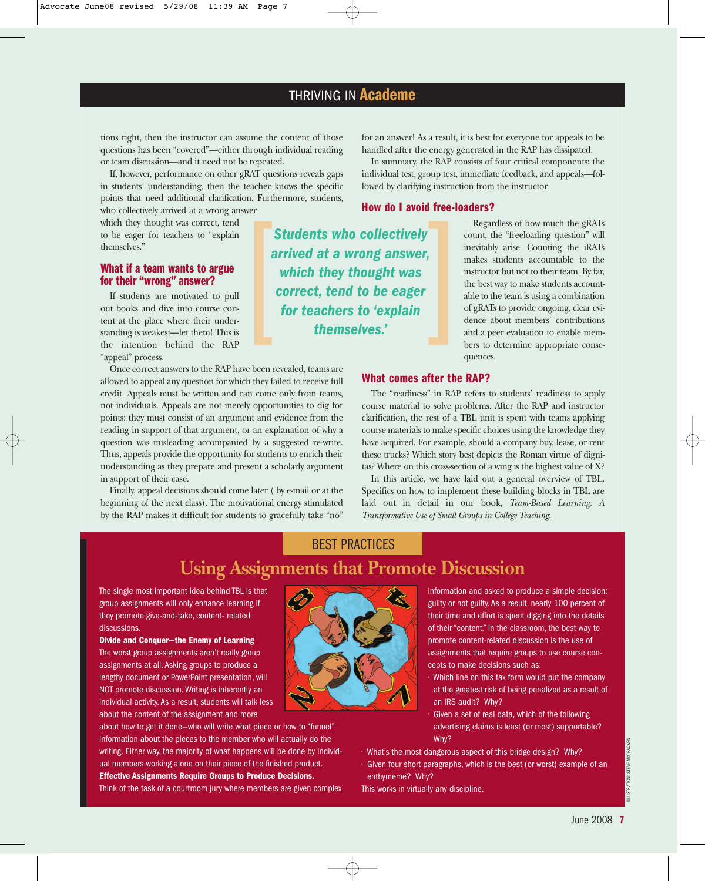*Students who collectively arrived at a wrong answer, which they thought was correct, tend to be eager*

tions right, then the instructor can assume the content of those questions has been "covered"—either through individual reading or team discussion—and it need not be repeated.

If, however, performance on other gRAT questions reveals gaps in students' understanding, then the teacher knows the specific points that need additional clarification. Furthermore, students, who collectively arrived at a wrong answer

which they thought was correct, tend to be eager for teachers to "explain themselves."

# **What if a team wants to argue for their "wrong" answer?**

If students are motivated to pull out books and dive into course content at the place where their understanding is weakest—let them! This is the intention behind the RAP "appeal" process.

Once correct answers to the RAP have been revealed, teams are allowed to appeal any question for which they failed to receive full credit. Appeals must be written and can come only from teams, not individuals. Appeals are not merely opportunities to dig for points: they must consist of an argument and evidence from the reading in support of that argument, or an explanation of why a question was misleading accompanied by a suggested re-write. Thus, appeals provide the opportunity for students to enrich their understanding as they prepare and present a scholarly argument in support of their case.

Finally, appeal decisions should come later ( by e-mail or at the beginning of the next class). The motivational energy stimulated by the RAP makes it difficult for students to gracefully take "no"

for an answer! As a result, it is best for everyone for appeals to be handled after the energy generated in the RAP has dissipated.

In summary, the RAP consists of four critical components: the individual test, group test, immediate feedback, and appeals—followed by clarifying instruction from the instructor.

# **How do I avoid free-loaders?** For the same of the same of the same of the same of the same of the same of the same of the same of the same of the same of the same of themselves.'<br> *for teachers to 'explain* themselves.'

Regardless of how much the gRATs count, the "freeloading question" will inevitably arise. Counting the iRATs makes students accountable to the instructor but not to their team. By far, the best way to make students accountable to the team is using a combination of gRATs to provide ongoing, clear evidence about members' contributions and a peer evaluation to enable members to determine appropriate consequences.

# **What comes after the RAP?**

The "readiness" in RAP refers to students' readiness to apply course material to solve problems. After the RAP and instructor clarification, the rest of a TBL unit is spent with teams applying course materials to make specific choices using the knowledge they have acquired. For example, should a company buy, lease, or rent these trucks? Which story best depicts the Roman virtue of dignitas? Where on this cross-section of a wing is the highest value of X?

In this article, we have laid out a general overview of TBL. Specifics on how to implement these building blocks in TBL are laid out in detail in our book, *Team-Based Learning: A Transformative Use of Small Groups in College Teaching*.

# BEST PRACTICES **Using Assignments that Promote Discussion**

The single most important idea behind TBL is that group assignments will only enhance learning if they promote give-and-take, content- related discussions.

**Divide and Conquer—the Enemy of Learning**

The worst group assignments aren't really group assignments at all. Asking groups to produce a lengthy document or PowerPoint presentation, will NOT promote discussion. Writing is inherently an individual activity. As a result, students will talk less about the content of the assignment and more

about how to get it done—who will write what piece or how to "funnel" information about the pieces to the member who will actually do the writing. Either way, the majority of what happens will be done by individual members working alone on their piece of the finished product. **Effective Assignments Require Groups to Produce Decisions.**

Think of the task of a courtroom jury where members are given complex

information and asked to produce a simple decision: guilty or not guilty. As a result, nearly 100 percent of their time and effort is spent digging into the details of their "content." In the classroom, the best way to promote content-related discussion is the use of assignments that require groups to use course concepts to make decisions such as:

- Which line on this tax form would put the company at the greatest risk of being penalized as a result of an IRS audit? Why?
- Given a set of real data, which of the following advertising claims is least (or most) supportable? Why?

• Given four short paragraphs, which is the best (or worst) example of an enthymeme? Why?

This works in virtually any discipline.



<sup>•</sup> What's the most dangerous aspect of this bridge design? Why?